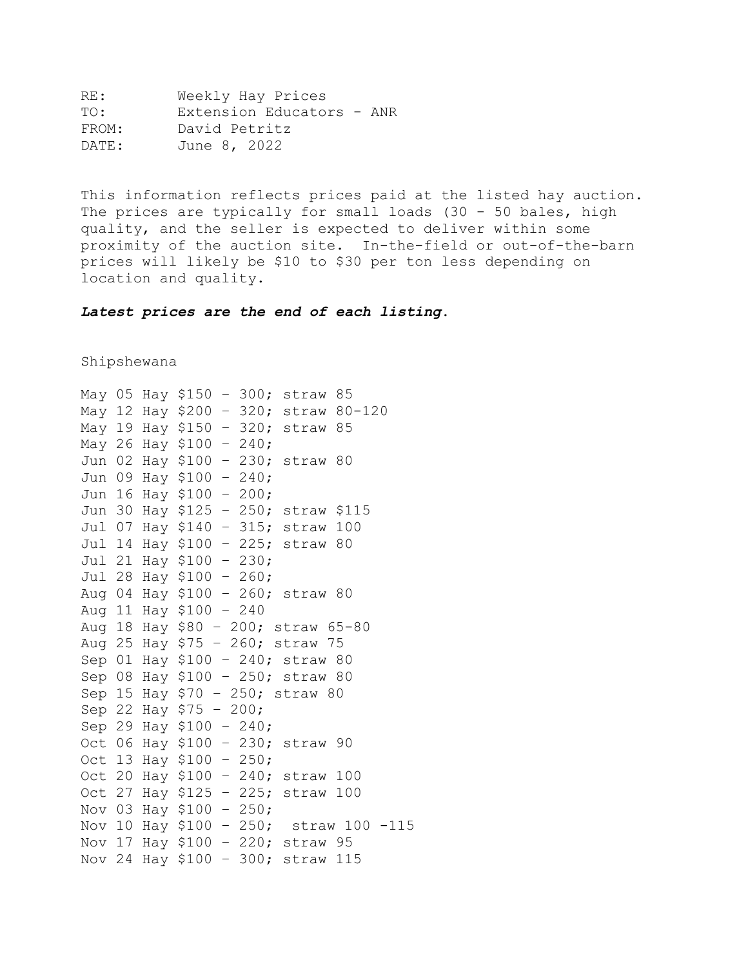| RE :  | Weekly Hay Prices         |
|-------|---------------------------|
| TO:   | Extension Educators - ANR |
| FROM: | David Petritz             |
| DATE: | June 8, 2022              |

This information reflects prices paid at the listed hay auction. The prices are typically for small loads (30 - 50 bales, high quality, and the seller is expected to deliver within some proximity of the auction site. In-the-field or out-of-the-barn prices will likely be \$10 to \$30 per ton less depending on location and quality.

*Latest prices are the end of each listing***.**

Shipshewana

```
May 05 Hay $150 – 300; straw 85 
May 12 Hay $200 – 320; straw 80-120 
May 19 Hay $150 – 320; straw 85
May 26 Hay $100 – 240;
Jun 02 Hay $100 – 230; straw 80 
Jun 09 Hay $100 – 240; 
Jun 16 Hay $100 – 200; 
Jun 30 Hay $125 – 250; straw $115 
Jul 07 Hay $140 – 315; straw 100 
Jul 14 Hay $100 – 225; straw 80 
Jul 21 Hay $100 – 230; 
Jul 28 Hay $100 – 260; 
Aug 04 Hay $100 – 260; straw 80 
Aug 11 Hay $100 – 240 
Aug 18 Hay $80 – 200; straw 65-80
Aug 25 Hay $75 – 260; straw 75
Sep 01 Hay $100 – 240; straw 80
Sep 08 Hay $100 – 250; straw 80
Sep 15 Hay $70 – 250; straw 80
Sep 22 Hay $75 – 200; 
Sep 29 Hay $100 – 240; 
Oct 06 Hay $100 – 230; straw 90
Oct 13 Hay $100 – 250; 
Oct 20 Hay $100 – 240; straw 100
Oct 27 Hay $125 – 225; straw 100 
Nov 03 Hay $100 – 250; 
Nov 10 Hay $100 – 250; straw 100 -115 
Nov 17 Hay $100 – 220; straw 95 
Nov 24 Hay $100 – 300; straw 115
```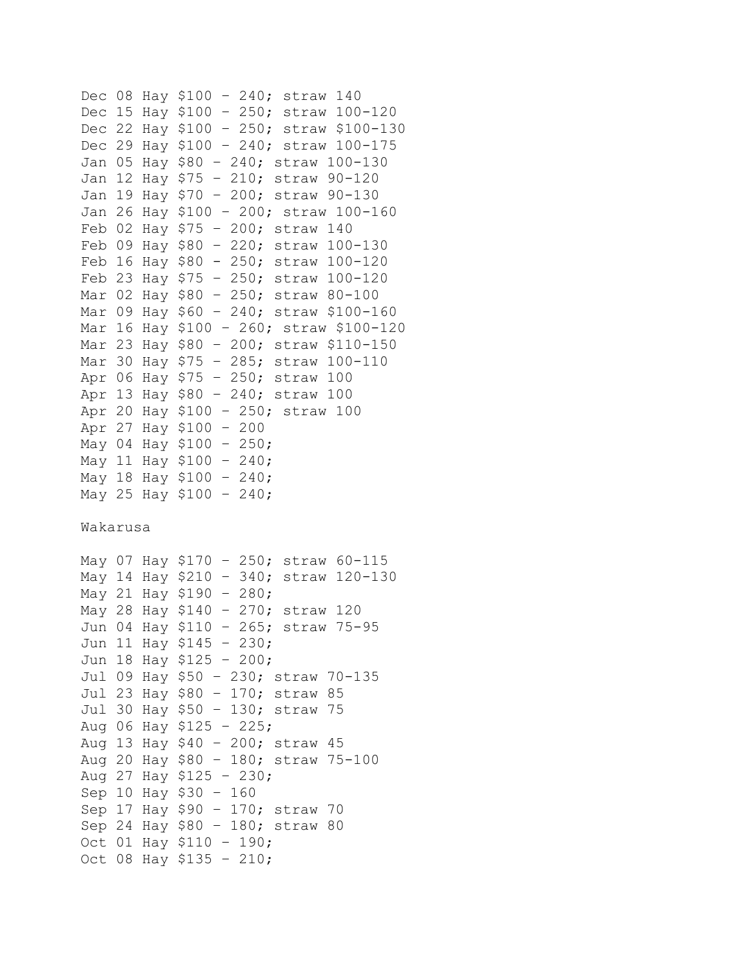```
Dec 08 Hay $100 – 240; straw 140 
Dec 15 Hay $100 – 250; straw 100-120 
Dec 22 Hay $100 – 250; straw $100-130 
Dec 29 Hay $100 – 240; straw 100-175 
Jan 05 Hay $80 – 240; straw 100-130
Jan 12 Hay $75 – 210; straw 90-120
Jan 19 Hay $70 – 200; straw 90-130
Jan 26 Hay $100 – 200; straw 100-160
Feb 02 Hay $75 – 200; straw 140
Feb 09 Hay $80 – 220; straw 100-130
Feb 16 Hay $80 - 250; straw 100-120
Feb 23 Hay $75 – 250; straw 100-120
Mar 02 Hay $80 – 250; straw 80-100
Mar 09 Hay $60 – 240; straw $100-160
Mar 16 Hay $100 – 260; straw $100-120
Mar 23 Hay $80 – 200; straw $110-150
Mar 30 Hay $75 – 285; straw 100-110
Apr 06 Hay $75 – 250; straw 100 
Apr 13 Hay $80 – 240; straw 100
Apr 20 Hay $100 – 250; straw 100
Apr 27 Hay $100 – 200
May 04 Hay $100 – 250; 
May 11 Hay $100 – 240; 
May 18 Hay $100 – 240;
May 25 Hay $100 – 240;
Wakarusa
May 07 Hay $170 – 250; straw 60-115 
May 14 Hay $210 – 340; straw 120-130 
May 21 Hay $190 – 280; 
May 28 Hay $140 – 270; straw 120
Jun 04 Hay $110 – 265; straw 75-95 
Jun 11 Hay $145 – 230; 
Jun 18 Hay $125 – 200; 
Jul 09 Hay $50 – 230; straw 70-135 
Jul 23 Hay $80 – 170; straw 85
Jul 30 Hay $50 – 130; straw 75
Aug 06 Hay $125 – 225; 
Aug 13 Hay $40 – 200; straw 45 
Aug 20 Hay $80 – 180; straw 75-100
Aug 27 Hay $125 – 230;
Sep 10 Hay $30 – 160
Sep 17 Hay $90 – 170; straw 70
Sep 24 Hay $80 – 180; straw 80
Oct 01 Hay $110 – 190; 
Oct 08 Hay $135 – 210;
```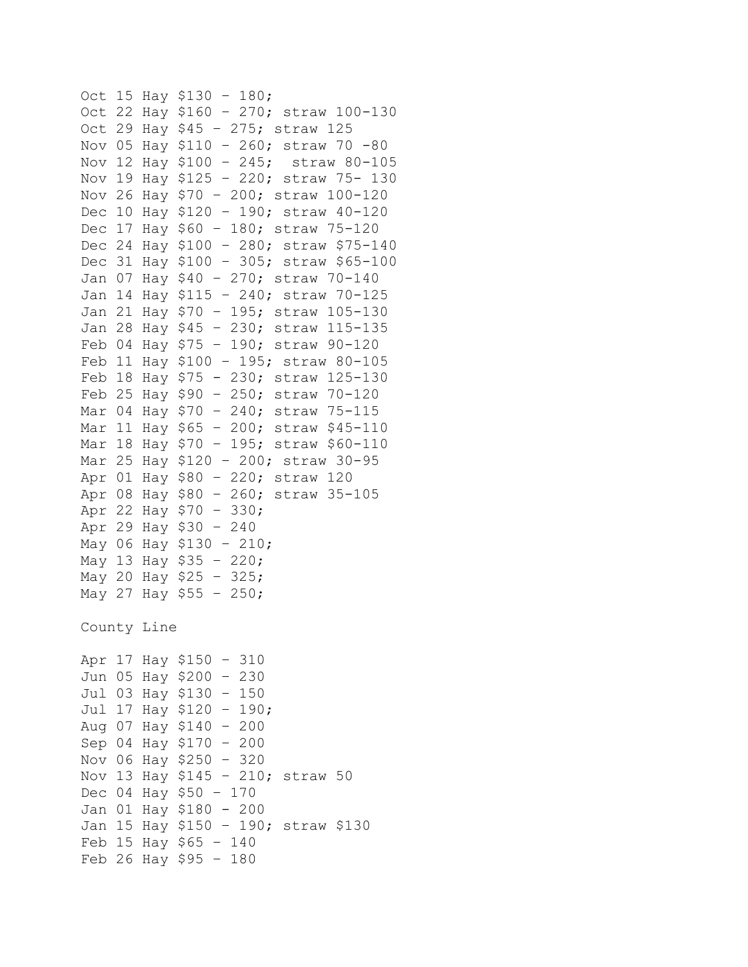```
Oct 15 Hay $130 – 180; 
Oct 22 Hay $160 – 270; straw 100-130
Oct 29 Hay $45 – 275; straw 125 
Nov 05 Hay $110 – 260; straw 70 -80 
Nov 12 Hay $100 – 245; straw 80-105 
Nov 19 Hay $125 – 220; straw 75- 130
Nov 26 Hay $70 – 200; straw 100-120
Dec 10 Hay $120 – 190; straw 40-120 
Dec 17 Hay $60 – 180; straw 75-120 
Dec 24 Hay $100 – 280; straw $75-140 
Dec 31 Hay $100 – 305; straw $65-100 
Jan 07 Hay $40 – 270; straw 70-140
Jan 14 Hay $115 – 240; straw 70-125
Jan 21 Hay $70 – 195; straw 105-130
Jan 28 Hay $45 – 230; straw 115-135
Feb 04 Hay $75 – 190; straw 90-120
Feb 11 Hay $100 – 195; straw 80-105
Feb 18 Hay $75 - 230; straw 125-130
Feb 25 Hay $90 – 250; straw 70-120
Mar 04 Hay $70 – 240; straw 75-115
Mar 11 Hay $65 – 200; straw $45-110
Mar 18 Hay $70 – 195; straw $60-110
Mar 25 Hay $120 – 200; straw 30-95
Apr 01 Hay $80 – 220; straw 120 
Apr 08 Hay $80 – 260; straw 35-105
Apr 22 Hay $70 – 330;
Apr 29 Hay $30 – 240
May 06 Hay $130 – 210; 
May 13 Hay $35 – 220; 
May 20 Hay $25 – 325; 
May 27 Hay $55 – 250;
County Line
Apr 17 Hay $150 – 310
Jun 05 Hay $200 – 230 
Jul 03 Hay $130 – 150 
Jul 17 Hay $120 – 190; 
Aug 07 Hay $140 – 200
Sep 04 Hay $170 – 200
Nov 06 Hay $250 – 320
Nov 13 Hay $145 – 210; straw 50
Dec 04 Hay $50 – 170
Jan 01 Hay $180 - 200
Jan 15 Hay $150 – 190; straw $130
Feb 15 Hay $65 – 140
Feb 26 Hay $95 – 180
```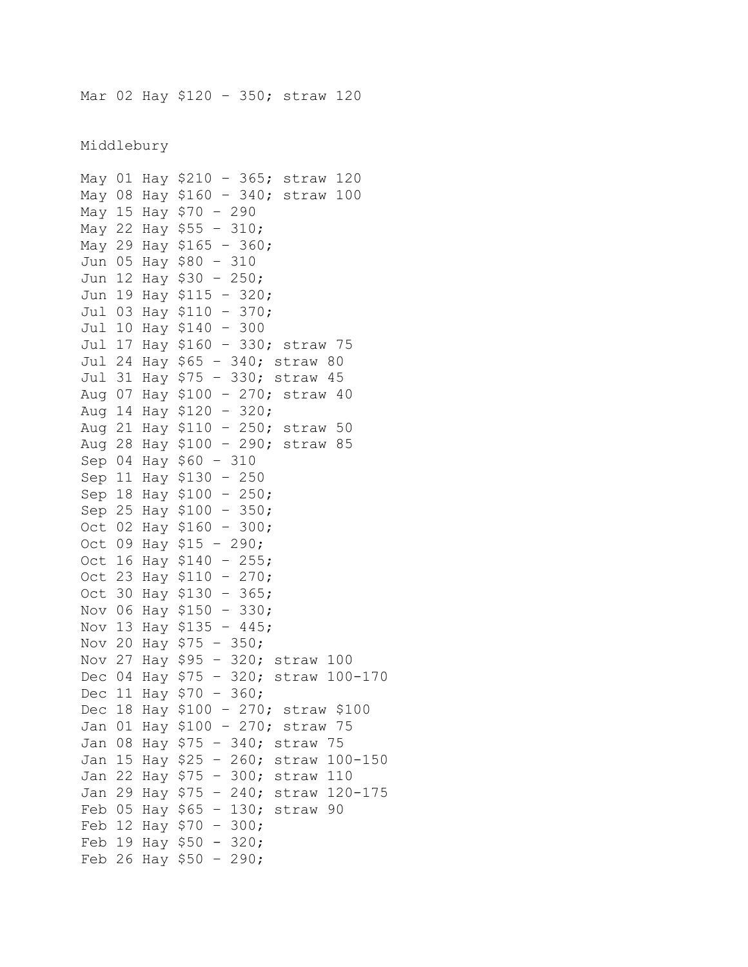Mar 02 Hay \$120 – 350; straw 120

Middlebury

```
May 01 Hay $210 – 365; straw 120
May 08 Hay $160 – 340; straw 100 
May 15 Hay $70 – 290 
May 22 Hay $55 – 310; 
May 29 Hay $165 – 360; 
Jun 05 Hay $80 – 310 
Jun 12 Hay $30 – 250; 
Jun 19 Hay $115 – 320; 
Jul 03 Hay $110 – 370; 
Jul 10 Hay $140 – 300 
Jul 17 Hay $160 – 330; straw 75 
Jul 24 Hay $65 – 340; straw 80
Jul 31 Hay $75 – 330; straw 45
Aug 07 Hay $100 – 270; straw 40
Aug 14 Hay $120 – 320; 
Aug 21 Hay $110 – 250; straw 50 
Aug 28 Hay $100 – 290; straw 85
Sep 04 Hay $60 – 310
Sep 11 Hay $130 – 250
Sep 18 Hay $100 – 250; 
Sep 25 Hay $100 – 350; 
Oct 02 Hay $160 – 300; 
Oct 09 Hay $15 – 290;
Oct 16 Hay $140 – 255; 
Oct 23 Hay $110 – 270; 
Oct 30 Hay $130 – 365; 
Nov 06 Hay $150 – 330; 
Nov 13 Hay $135 – 445; 
Nov 20 Hay $75 – 350; 
Nov 27 Hay $95 – 320; straw 100 
Dec 04 Hay $75 – 320; straw 100-170 
Dec 11 Hay $70 – 360; 
Dec 18 Hay $100 – 270; straw $100 
Jan 01 Hay $100 – 270; straw 75 
Jan 08 Hay $75 – 340; straw 75
Jan 15 Hay $25 – 260; straw 100-150
Jan 22 Hay $75 – 300; straw 110
Jan 29 Hay $75 – 240; straw 120-175
Feb 05 Hay $65 – 130; straw 90
Feb 12 Hay $70 – 300; 
Feb 19 Hay $50 - 320;
Feb 26 Hay $50 - 290;
```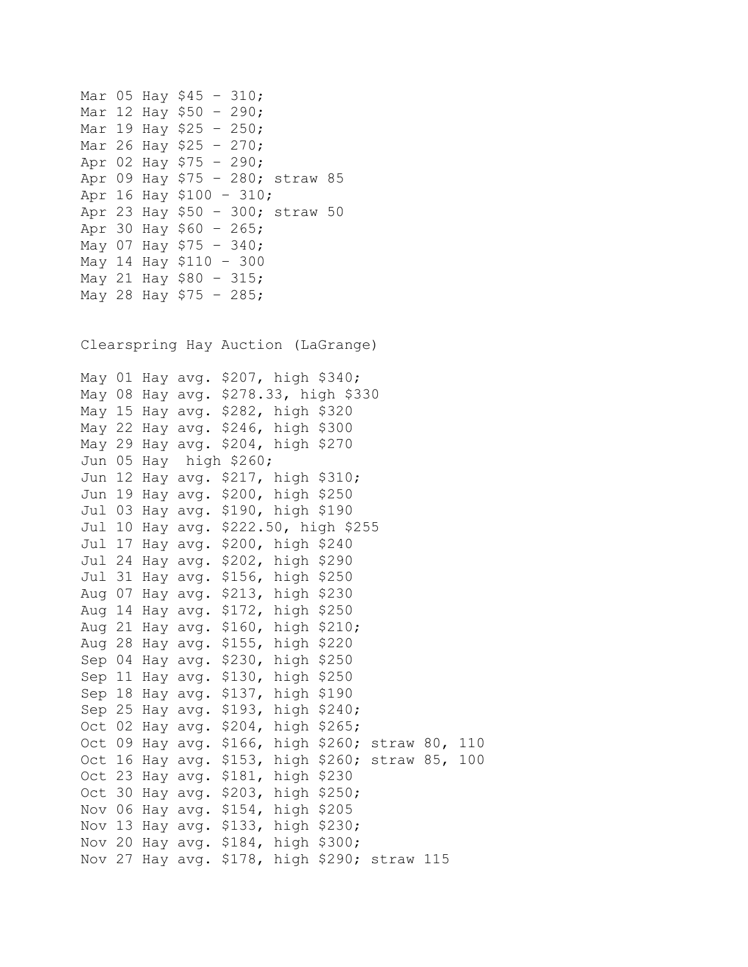Mar 05 Hay \$45 – 310; Mar 12 Hay \$50 – 290; Mar 19 Hay \$25 – 250; Mar 26 Hay \$25 – 270; Apr 02 Hay \$75 – 290; Apr 09 Hay \$75 – 280; straw 85 Apr 16 Hay \$100 – 310; Apr 23 Hay \$50 – 300; straw 50 Apr 30 Hay \$60 – 265; May 07 Hay \$75 – 340; May 14 Hay \$110 – 300 May 21 Hay \$80 – 315; May 28 Hay \$75 – 285; Clearspring Hay Auction (LaGrange) May 01 Hay avg. \$207, high \$340; May 08 Hay avg. \$278.33, high \$330 May 15 Hay avg. \$282, high \$320 May 22 Hay avg. \$246, high \$300 May 29 Hay avg. \$204, high \$270 Jun 05 Hay high \$260; Jun 12 Hay avg. \$217, high \$310; Jun 19 Hay avg. \$200, high \$250 Jul 03 Hay avg. \$190, high \$190 Jul 10 Hay avg. \$222.50, high \$255 Jul 17 Hay avg. \$200, high \$240 Jul 24 Hay avg. \$202, high \$290 Jul 31 Hay avg. \$156, high \$250 Aug 07 Hay avg. \$213, high \$230 Aug 14 Hay avg. \$172, high \$250 Aug 21 Hay avg. \$160, high \$210; Aug 28 Hay avg. \$155, high \$220 Sep 04 Hay avg. \$230, high \$250 Sep 11 Hay avg. \$130, high \$250 Sep 18 Hay avg. \$137, high \$190 Sep 25 Hay avg. \$193, high \$240; Oct 02 Hay avg. \$204, high \$265; Oct 09 Hay avg. \$166, high \$260; straw 80, 110 Oct 16 Hay avg. \$153, high \$260; straw 85, 100 Oct 23 Hay avg. \$181, high \$230 Oct 30 Hay avg. \$203, high \$250; Nov 06 Hay avg. \$154, high \$205 Nov 13 Hay avg. \$133, high \$230; Nov 20 Hay avg. \$184, high \$300; Nov 27 Hay avg. \$178, high \$290; straw 115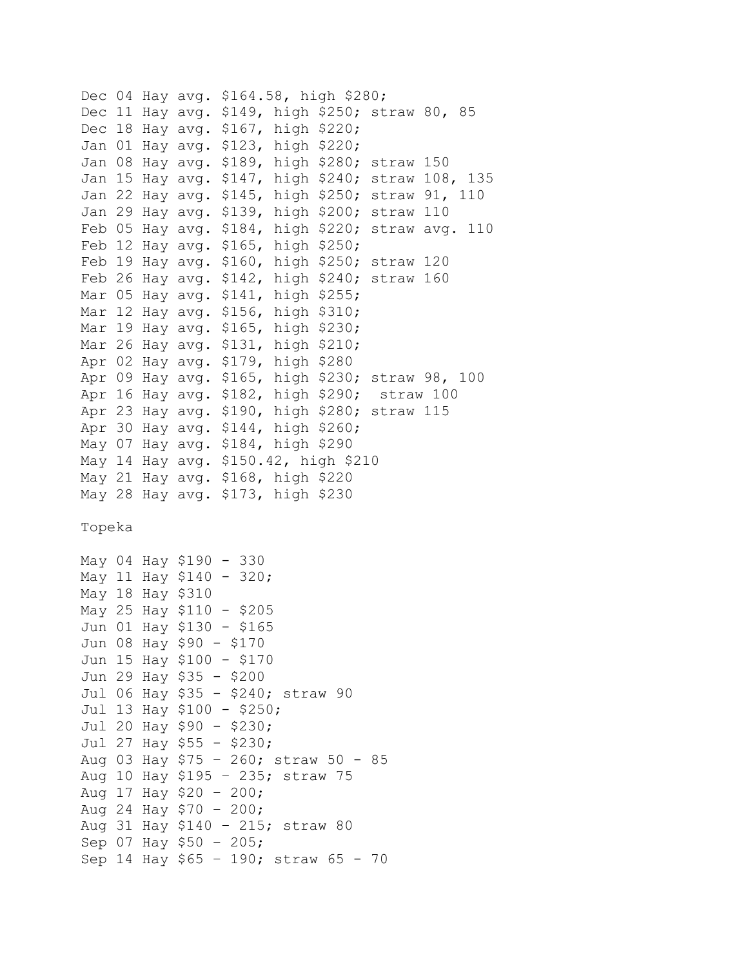Dec 04 Hay avg. \$164.58, high \$280; Dec 11 Hay avg. \$149, high \$250; straw 80, 85 Dec 18 Hay avg. \$167, high \$220; Jan 01 Hay avg. \$123, high \$220; Jan 08 Hay avg. \$189, high \$280; straw 150 Jan 15 Hay avg. \$147, high \$240; straw 108, 135 Jan 22 Hay avg. \$145, high \$250; straw 91, 110 Jan 29 Hay avg. \$139, high \$200; straw 110 Feb 05 Hay avg. \$184, high \$220; straw avg. 110 Feb 12 Hay avg. \$165, high \$250; Feb 19 Hay avg. \$160, high \$250; straw 120 Feb 26 Hay avg. \$142, high \$240; straw 160 Mar 05 Hay avg. \$141, high \$255; Mar 12 Hay avg. \$156, high \$310; Mar 19 Hay avg. \$165, high \$230; Mar 26 Hay avg. \$131, high \$210; Apr 02 Hay avg. \$179, high \$280 Apr 09 Hay avg. \$165, high \$230; straw 98, 100 Apr 16 Hay avg. \$182, high \$290; straw 100 Apr 23 Hay avg. \$190, high \$280; straw 115 Apr 30 Hay avg. \$144, high \$260; May 07 Hay avg. \$184, high \$290 May 14 Hay avg. \$150.42, high \$210 May 21 Hay avg. \$168, high \$220 May 28 Hay avg. \$173, high \$230 Topeka May 04 Hay \$190 - 330 May 11 Hay \$140 - 320; May 18 Hay \$310 May 25 Hay \$110 - \$205 Jun 01 Hay \$130 - \$165 Jun 08 Hay \$90 - \$170 Jun 15 Hay \$100 - \$170 Jun 29 Hay \$35 - \$200 Jul 06 Hay \$35 - \$240; straw 90 Jul 13 Hay \$100 - \$250; Jul 20 Hay \$90 - \$230; Jul 27 Hay \$55 - \$230; Aug 03 Hay \$75 – 260; straw 50 - 85 Aug 10 Hay \$195 – 235; straw 75 Aug 17 Hay \$20 – 200; Aug 24 Hay \$70 – 200; Aug 31 Hay \$140 – 215; straw 80 Sep 07 Hay \$50 – 205; Sep 14 Hay \$65 – 190; straw 65 - 70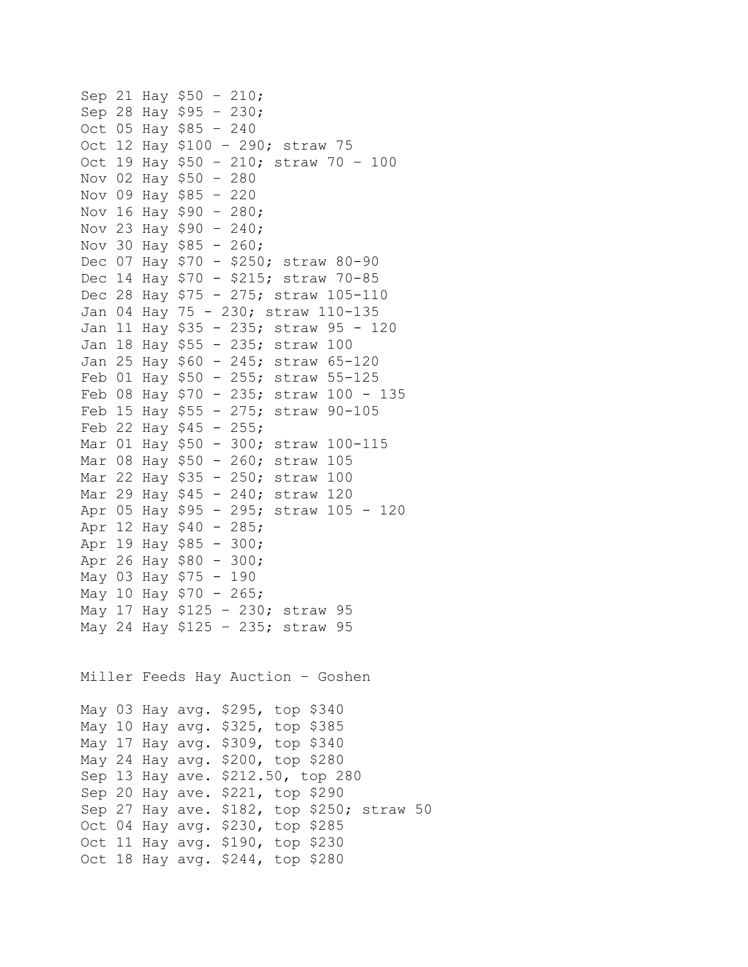|        |    | Sep 21 Hay \$50 -<br>210;                  |
|--------|----|--------------------------------------------|
|        |    | Sep 28 Hay \$95 -<br>230;                  |
|        |    | Oct 05 Hay \$85 - 240                      |
|        |    | Oct 12 Hay \$100 - 290; straw 75           |
|        |    | Oct 19 Hay \$50 - 210; straw 70 -<br>100   |
|        |    | Nov 02 Hay \$50 -<br>280                   |
| Nov 09 |    | Hay \$85 –<br>220                          |
| Nov 16 |    | Нау \$90 –<br>280;                         |
|        |    | Nov 23 Hay \$90 - 240;                     |
|        |    | Nov 30 Hay \$85 - 260;                     |
|        |    | Dec 07 Hay \$70 - \$250; straw 80-90       |
|        |    | Dec 14 Hay \$70 - \$215; straw 70-85       |
|        |    | Dec 28 Hay \$75 - 275; straw 105-110       |
|        |    | Jan 04 Hay 75 - 230; straw 110-135         |
| Jan    |    | 11 Hay \$35 - 235; straw 95 - 120          |
| Jan    | 18 | Hay \$55 - 235; straw 100                  |
|        |    | Jan 25 Hay \$60 - 245; straw 65-120        |
|        |    | Feb 01 Hay \$50 - 255; straw 55-125        |
|        |    | Feb 08 Hay \$70 - 235; straw 100 - 135     |
|        |    | Feb 15 Hay \$55 - 275; straw 90-105        |
|        |    | Feb 22 Hay $$45 - 255$ ;                   |
|        |    | Mar 01 Hay \$50 - 300; straw 100-115       |
| Mar 08 |    | Нау \$50 –<br>260; straw 105               |
|        |    | Mar 22 Hay \$35 - 250; straw 100           |
|        |    | Mar 29 Hay \$45 - 240; straw 120           |
|        |    | Apr 05 Hay \$95 - 295; straw 105 - 120     |
|        |    | Apr 12 Hay \$40 -<br>285;                  |
|        |    | Apr 19 Hay \$85 - 300;                     |
| Apr 26 |    | Hay $$80 - 300;$                           |
| May 03 |    | Hay \$75 –<br>190                          |
|        |    | May 10 Hay \$70 - 265;                     |
|        |    | May 17 Hay \$125 - 230; straw 95           |
|        |    | May 24 Hay \$125 - 235; straw 95           |
|        |    | Miller Feeds Hay Auction - Goshen          |
|        |    | May 03 Hay avg. \$295, top \$340           |
|        |    | May 10 Hay avg. \$325, top \$385           |
|        |    | May 17 Hay avg. \$309, top \$340           |
|        |    | May 24 Hay avg. \$200, top \$280           |
|        |    | Sep 13 Hay ave. \$212.50, top 280          |
|        |    | Sep 20 Hay ave. \$221, top \$290           |
|        |    | Sep 27 Hay ave. \$182, top \$250; straw 50 |
|        |    | Oct 04 Hay avg. \$230, top \$285           |
|        |    | Oct 11 Hay avg. \$190, top \$230           |
| Oct 18 |    | Hay avg. \$244, top \$280                  |
|        |    |                                            |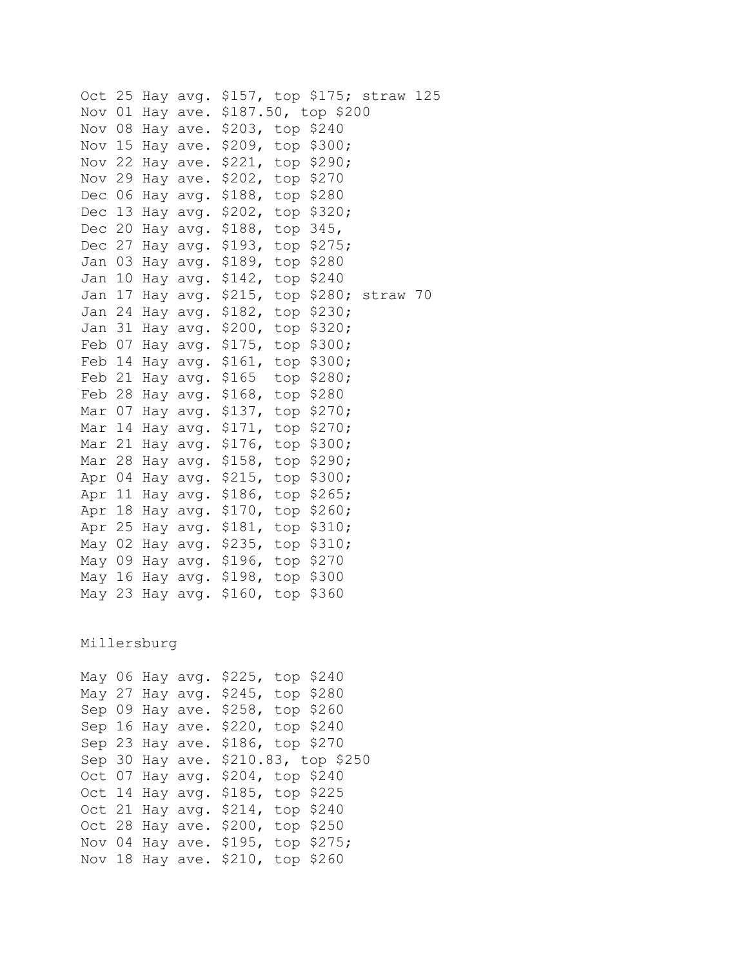Oct 25 Hay avg. \$157, top \$175; straw 125 Nov 01 Hay ave. \$187.50, top \$200 Nov 08 Hay ave. \$203, top \$240 Nov 15 Hay ave. \$209, top \$300; Nov 22 Hay ave. \$221, top \$290; Nov 29 Hay ave. \$202, top \$270 Dec 06 Hay avg. \$188, top \$280 Dec 13 Hay avg. \$202, top \$320; Dec 20 Hay avg. \$188, top 345, Dec 27 Hay avg. \$193, top \$275; Jan 03 Hay avg. \$189, top \$280 Jan 10 Hay avg. \$142, top \$240 Jan 17 Hay avg. \$215, top \$280; straw 70 Jan 24 Hay avg. \$182, top \$230; Jan 31 Hay avg. \$200, top \$320; Feb 07 Hay avg. \$175, top \$300; Feb 14 Hay avg. \$161, top \$300; Feb 21 Hay avg. \$165 top \$280; Feb 28 Hay avg. \$168, top \$280 Mar 07 Hay avg. \$137, top \$270; Mar 14 Hay avg. \$171, top \$270; Mar 21 Hay avg. \$176, top \$300; Mar 28 Hay avg. \$158, top \$290; Apr 04 Hay avg. \$215, top \$300; Apr 11 Hay avg. \$186, top \$265; Apr 18 Hay avg. \$170, top \$260; Apr 25 Hay avg. \$181, top \$310; May 02 Hay avg. \$235, top \$310; May 09 Hay avg. \$196, top \$270 May 16 Hay avg. \$198, top \$300 May 23 Hay avg. \$160, top \$360 Millersburg

May 06 Hay avg. \$225, top \$240 May 27 Hay avg. \$245, top \$280 Sep 09 Hay ave. \$258, top \$260 Sep 16 Hay ave. \$220, top \$240 Sep 23 Hay ave. \$186, top \$270 Sep 30 Hay ave. \$210.83, top \$250 Oct 07 Hay avg. \$204, top \$240 Oct 14 Hay avg. \$185, top \$225 Oct 21 Hay avg. \$214, top \$240 Oct 28 Hay ave. \$200, top \$250 Nov 04 Hay ave. \$195, top \$275; Nov 18 Hay ave. \$210, top \$260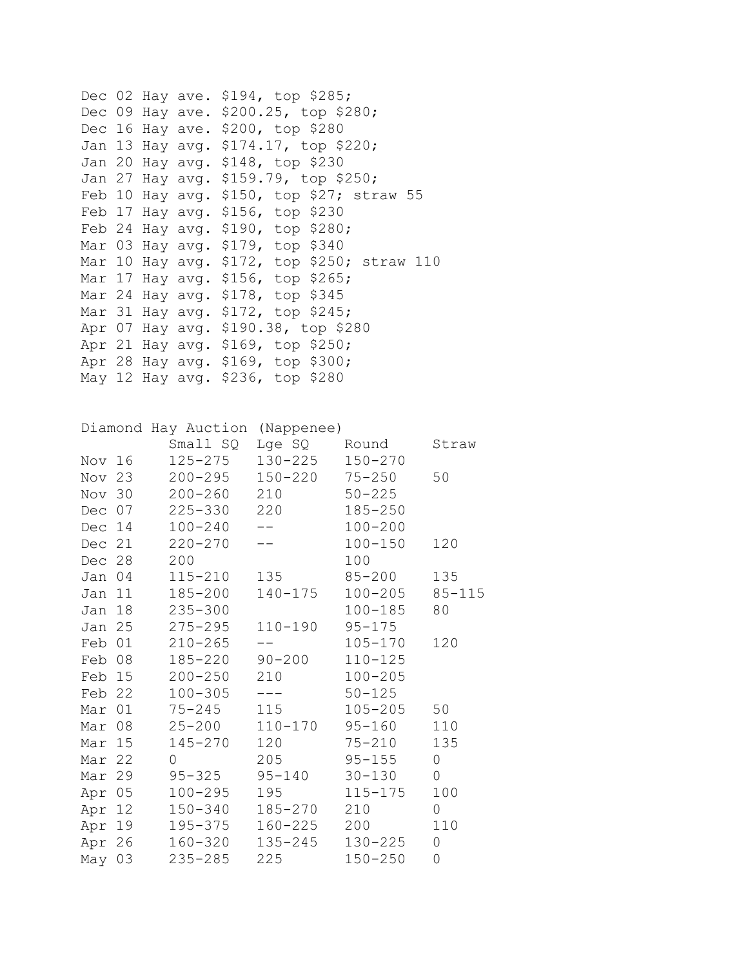Dec 02 Hay ave. \$194, top \$285; Dec 09 Hay ave. \$200.25, top \$280; Dec 16 Hay ave. \$200, top \$280 Jan 13 Hay avg. \$174.17, top \$220; Jan 20 Hay avg. \$148, top \$230 Jan 27 Hay avg. \$159.79, top \$250; Feb 10 Hay avg. \$150, top \$27; straw 55 Feb 17 Hay avg. \$156, top \$230 Feb 24 Hay avg. \$190, top \$280; Mar 03 Hay avg. \$179, top \$340 Mar 10 Hay avg. \$172, top \$250; straw 110 Mar 17 Hay avg. \$156, top \$265; Mar 24 Hay avg. \$178, top \$345 Mar 31 Hay avg. \$172, top \$245; Apr 07 Hay avg. \$190.38, top \$280 Apr 21 Hay avg. \$169, top \$250; Apr 28 Hay avg. \$169, top \$300; May 12 Hay avg. \$236, top \$280

|        |        | Diamond Hay Auction (Nappenee)    |                                                                                                                                                                                                                                                                                                                                                                                              |             |                     |
|--------|--------|-----------------------------------|----------------------------------------------------------------------------------------------------------------------------------------------------------------------------------------------------------------------------------------------------------------------------------------------------------------------------------------------------------------------------------------------|-------------|---------------------|
|        |        | Small SQ                          | Lge SQ                                                                                                                                                                                                                                                                                                                                                                                       | Round       | Straw               |
| Nov 16 |        | 125-275                           | 130-225                                                                                                                                                                                                                                                                                                                                                                                      | $150 - 270$ |                     |
| Nov 23 |        | 200-295                           | 150-220 75-250                                                                                                                                                                                                                                                                                                                                                                               |             | 50                  |
| Nov 30 |        | $200 - 260$                       | 210                                                                                                                                                                                                                                                                                                                                                                                          | $50 - 225$  |                     |
| Dec 07 |        | 225-330                           | 220                                                                                                                                                                                                                                                                                                                                                                                          | $185 - 250$ |                     |
| Dec 14 |        | $100 - 240$                       | $--$                                                                                                                                                                                                                                                                                                                                                                                         | $100 - 200$ |                     |
| Dec 21 |        | $220 - 270$                       | $-$                                                                                                                                                                                                                                                                                                                                                                                          | $100 - 150$ | 120                 |
| Dec 28 |        | 200                               |                                                                                                                                                                                                                                                                                                                                                                                              | 100         |                     |
| Jan 04 |        | $115 - 210$                       | 135                                                                                                                                                                                                                                                                                                                                                                                          | $85 - 200$  | 135                 |
| Jan 11 |        | 185-200                           | 140-175                                                                                                                                                                                                                                                                                                                                                                                      | $100 - 205$ | $85 - 115$          |
| Jan 18 |        | $235 - 300$                       |                                                                                                                                                                                                                                                                                                                                                                                              | $100 - 185$ | 80                  |
| Jan 25 |        | 275-295                           | 110-190                                                                                                                                                                                                                                                                                                                                                                                      | $95 - 175$  |                     |
| Feb 01 |        | $210 - 265$                       |                                                                                                                                                                                                                                                                                                                                                                                              | $105 - 170$ | 120                 |
| Feb 08 |        | 185-220                           | $90 - 200$                                                                                                                                                                                                                                                                                                                                                                                   | $110 - 125$ |                     |
| Feb 15 |        | 200-250                           | 210                                                                                                                                                                                                                                                                                                                                                                                          | $100 - 205$ |                     |
| Feb 22 |        | $100 - 305$                       | $\frac{1}{2} \frac{1}{2} \frac{1}{2} \frac{1}{2} \frac{1}{2} \frac{1}{2} \frac{1}{2} \frac{1}{2} \frac{1}{2} \frac{1}{2} \frac{1}{2} \frac{1}{2} \frac{1}{2} \frac{1}{2} \frac{1}{2} \frac{1}{2} \frac{1}{2} \frac{1}{2} \frac{1}{2} \frac{1}{2} \frac{1}{2} \frac{1}{2} \frac{1}{2} \frac{1}{2} \frac{1}{2} \frac{1}{2} \frac{1}{2} \frac{1}{2} \frac{1}{2} \frac{1}{2} \frac{1}{2} \frac{$ | $50 - 125$  |                     |
| Mar 01 |        | $75 - 245$                        | 115                                                                                                                                                                                                                                                                                                                                                                                          | $105 - 205$ | 50                  |
| Mar 08 |        | $25 - 200$                        | 110-170                                                                                                                                                                                                                                                                                                                                                                                      | $95 - 160$  | 110                 |
| Mar 15 |        | 145-270                           | 120                                                                                                                                                                                                                                                                                                                                                                                          | $75 - 210$  | 135                 |
| Mar 22 |        | $\Omega$                          | 205                                                                                                                                                                                                                                                                                                                                                                                          | $95 - 155$  | $\mathsf{O}\xspace$ |
| Mar 29 |        | $95 - 325$                        | $95 - 140$                                                                                                                                                                                                                                                                                                                                                                                   | $30 - 130$  | $\mathsf{O}$        |
| Apr 05 |        | 100-295                           | 195                                                                                                                                                                                                                                                                                                                                                                                          | 115-175     | 100                 |
| Apr 12 |        |                                   | 150-340 185-270                                                                                                                                                                                                                                                                                                                                                                              | 210         | $\mathsf{O}$        |
|        | Apr 19 |                                   | 195-375 160-225                                                                                                                                                                                                                                                                                                                                                                              | 200         | 110                 |
|        |        | Apr 26  160-320  135-245  130-225 |                                                                                                                                                                                                                                                                                                                                                                                              |             | $\mathbf 0$         |
| May 03 |        | $235 - 285$                       | 225                                                                                                                                                                                                                                                                                                                                                                                          | $150 - 250$ | $\mathbf 0$         |